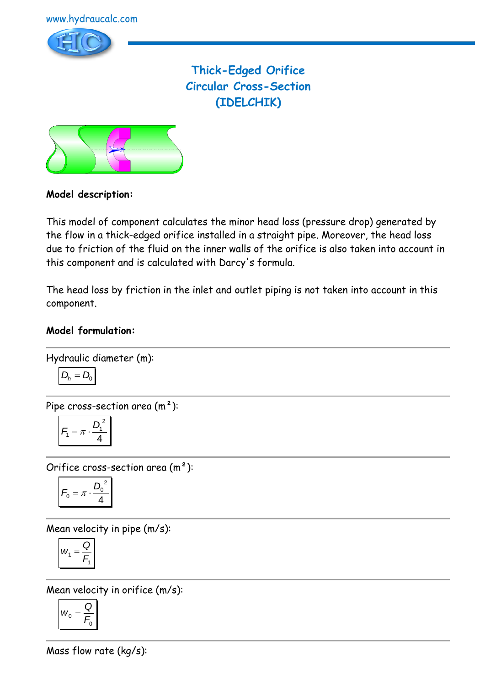

**Thick-Edged Orifice Circular Cross-Section (IDELCHIK)**



## **Model description:**

This model of component calculates the minor head loss (pressure drop) generated by the flow in a thick-edged orifice installed in a straight pipe. Moreover, the head loss due to friction of the fluid on the inner walls of the orifice is also taken into account in this component and is calculated with Darcy's formula.

The head loss by friction in the inlet and outlet piping is not taken into account in this component.

#### **Model formulation:**

Hydraulic diameter (m):

Pipe cross-section area (m²):

$$
F_1 = \pi \cdot \frac{D_1^2}{4}
$$

 $D_h = D_0$ 

Orifice cross-section area (m²):

$$
F_0 = \pi \cdot \frac{D_0^2}{4}
$$

Mean velocity in pipe (m/s):

$$
W_1 = \frac{Q}{F_1}
$$

Mean velocity in orifice (m/s):

$$
W_0 = \frac{Q}{F_0}
$$

Mass flow rate (kg/s):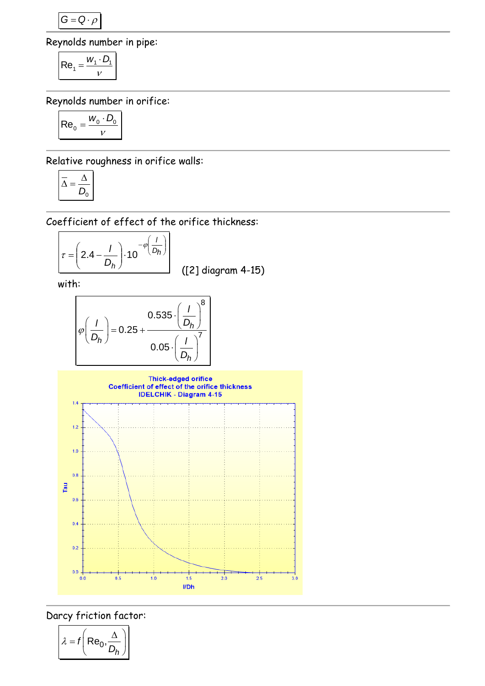$G = Q \cdot \rho$ 

Reynolds number in pipe:

$$
Re_1 = \frac{W_1 \cdot D_1}{V}
$$

Reynolds number in orifice:

$$
\mathsf{Re}_0 = \frac{w_0 \cdot D_0}{v}
$$

Relative roughness in orifice walls:

$$
\overline{\Delta} = \frac{\Delta}{D_0}
$$

Coefficient of effect of the orifice thickness:

$$
\tau = \left(2.4 - \frac{I}{D_h}\right) \cdot 10^{-\varphi\left(\frac{I}{D_h}\right)}
$$
\n(2)

diagram 4-15)

with:

$$
\varphi\left(\frac{I}{D_h}\right) = 0.25 + \frac{0.535 \cdot \left(\frac{I}{D_h}\right)^8}{0.05 \cdot \left(\frac{I}{D_h}\right)^7}
$$



Darcy friction factor:

$$
\lambda = f\left(\text{Re}_0, \frac{\Delta}{D_h}\right)
$$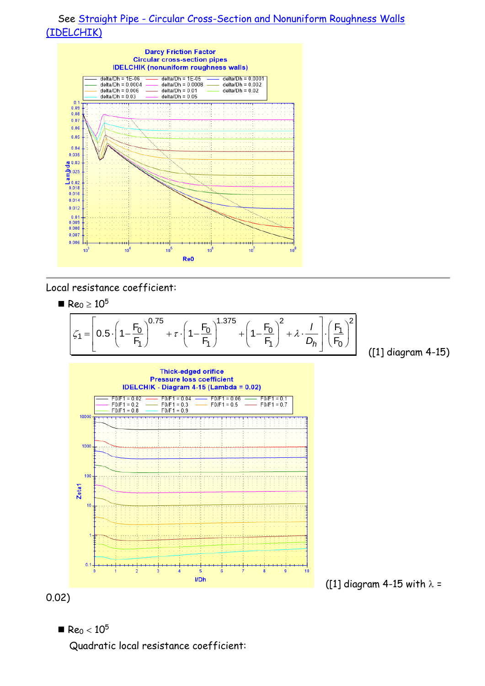



Local resistance coefficient:

 $\blacksquare$  Re<sub>0</sub>  $\geq 10^5$ 0.75  $\left($ ,  $F_0\right)^{1.375}$   $\left($ ,  $F_0\right)^2$ ,  $I\left(\left(F_1\right)^2\right)$  $\left[\frac{1}{2}\right]^{0.75}$  +  $\tau \cdot \left(1 - \frac{F_0}{F}\right)^{1.375}$  +  $\left(1 - \frac{F_0}{F}\right)^2$  +  $\lambda \cdot \frac{1}{F}$ .  $\zeta_1 =$  $\left(\frac{1}{2}\right)^{0.75} + \tau \cdot \left(1 - \frac{F_0}{F_1}\right)^{1.375} + \left(1 - \frac{F_0}{F_1}\right)^2 + \lambda \cdot \frac{1}{D_h} \cdot \left(\frac{F_1}{F_0}\right)^2$  $\frac{F_0}{F}$   $\Big|^{0.75}$  +  $\tau \cdot \Big(1 - \frac{F_0}{F}\Big)^{1.375}$  +  $\Big(1 - \frac{F_0}{F}\Big)^2$  +  $\lambda \cdot \frac{I}{F}$  +  $\Big(1 - \frac{F_0}{F}\Big)^2$  $\frac{10^5}{0.5 \cdot \left(1 - \frac{F_0}{F_1}\right)^{0.75} + \tau \cdot \left(1 - \frac{F_0}{F_1}\right)^{1.375} + \left(1 - \frac{F_0}{F_1}\right)^{1.375}}$  $\frac{F_0}{F_1}$ <sup>0.75</sup> +  $\tau \cdot \left(1 - \frac{F_0}{F_1}\right)^{1.375} + \left(1 - \frac{F_0}{F_1}\right)^2 + \lambda \cdot \frac{I}{D_h} \cdot \left(\frac{F_0}{F_1}\right)$ *l D* Reo ≥ 10<sup>5</sup><br>  $\zeta_1 = \left[0.5 \cdot \left(1 - \frac{F_0}{F_1}\right)^{0.75} + \tau \cdot \left(1 - \frac{F_0}{F_1}\right)^{1.375} + \left(1 - \frac{F_0}{F_1}\right)^2 + \lambda \cdot \frac{I}{D_h}\right] \cdot \left(\frac{F_1}{F_1}\right)$ stance coefficient:<br>  $10^5$ <br>  $\left[0.5 \cdot \left(1 - \frac{F_0}{r}\right)^{0.75} + \tau \cdot \left(1 - \frac{F_0}{r}\right)^{1.375} + \left(1 - \frac{F_0}{r}\right)^2 + \lambda \cdot \frac{1}{r}\right] \cdot \left(\frac{F_1}{r}\right)^2$  $\geq 10^5$ <br>=  $\left[0.5 \cdot \left(1 - \frac{F_0}{F_1}\right)^{0.75} + \tau \cdot \left(1 - \frac{F_0}{F_1}\right)^{1.375} + \left(1 - \frac{F_0}{F_1}\right)^2 + \lambda \cdot \frac{I}{D_h}\right] \cdot \left(\frac{F_1}{F_0}\right)^2$  ([1] d

([1] diagram 4-15)





0.02)



Quadratic local resistance coefficient: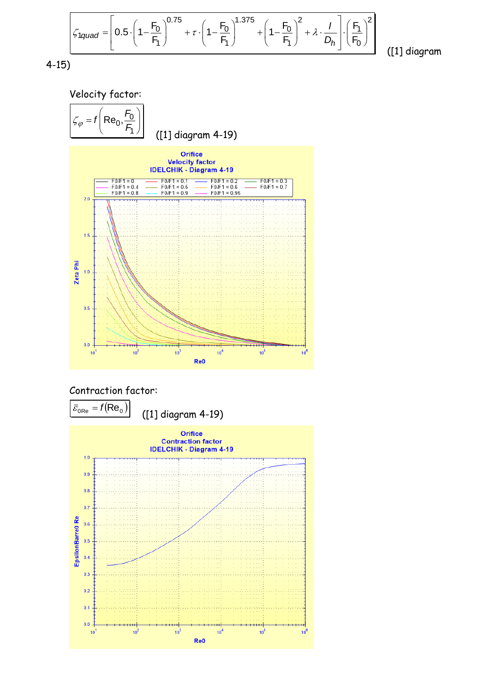$$
51 \text{quad} = \left[ 0.5 \cdot \left( 1 - \frac{F_0}{F_1} \right)^{0.75} + \tau \cdot \left( 1 - \frac{F_0}{F_1} \right)^{1.375} + \left( 1 - \frac{F_0}{F_1} \right)^2 + \lambda \cdot \frac{1}{D_h} \right] \cdot \left( \frac{F_1}{F_0} \right)^2 \tag{11} \text{ di}
$$

([1] diagram









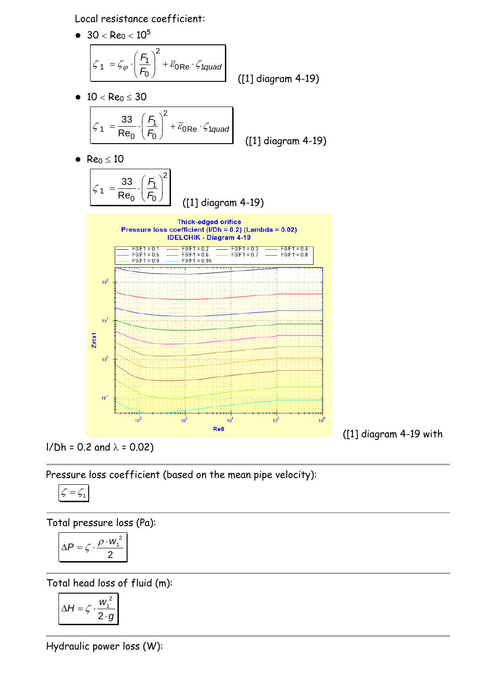Local resistance coefficient:



 $I/Dh = 0.2$  and  $\lambda = 0.02$ )

Pressure loss coefficient (based on the mean pipe velocity):

$$
\zeta=\zeta_1
$$

Total pressure loss (Pa):

$$
\Delta P = \zeta \cdot \frac{\rho \cdot w_1^2}{2}
$$

Total head loss of fluid (m):

$$
\Delta H = \zeta \cdot \frac{w_1^2}{2 \cdot g}
$$

Hydraulic power loss (W):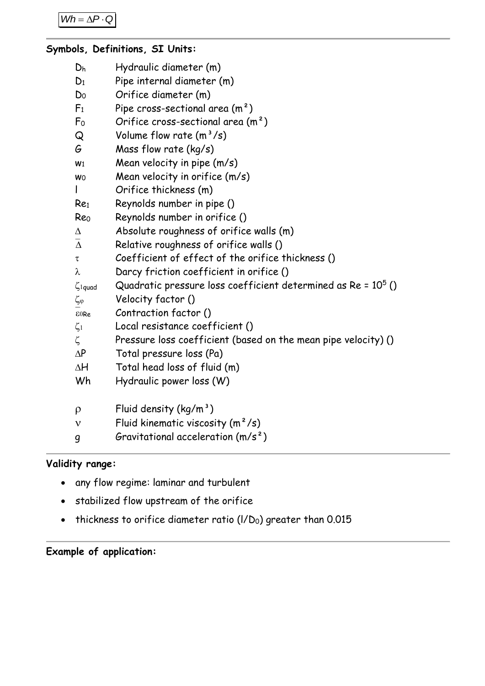```
Wh = \Delta P \cdot Q
```
## **Symbols, Definitions, SI Units:**

| Dh                       | Hydraulic diameter (m)                                          |
|--------------------------|-----------------------------------------------------------------|
| $D_1$                    | Pipe internal diameter (m)                                      |
| Do                       | Orifice diameter (m)                                            |
| F <sub>1</sub>           | Pipe cross-sectional area $(m2)$                                |
| F <sub>0</sub>           | Orifice cross-sectional area $(m2)$                             |
| Q                        | Volume flow rate $(m^3/s)$                                      |
| G                        | Mass flow rate $(kg/s)$                                         |
| W <sub>1</sub>           | Mean velocity in pipe (m/s)                                     |
| <b>WO</b>                | Mean velocity in orifice (m/s)                                  |
|                          | Orifice thickness (m)                                           |
| Re <sub>1</sub>          | Reynolds number in pipe ()                                      |
| Reo                      | Reynolds number in orifice ()                                   |
| $\Delta$                 | Absolute roughness of orifice walls (m)                         |
| $\overline{\Delta}$      | Relative roughness of orifice walls ()                          |
| τ                        | Coefficient of effect of the orifice thickness ()               |
| λ                        | Darcy friction coefficient in orifice ()                        |
| $\zeta$ <sub>1quad</sub> | Quadratic pressure loss coefficient determined as $Re = 105$ () |
| $\zeta_{\phi}$           | Velocity factor ()                                              |
| E0Re                     | Contraction factor ()                                           |
| $\zeta_1$                | Local resistance coefficient ()                                 |
| $\zeta$                  | Pressure loss coefficient (based on the mean pipe velocity) ()  |
| $\Delta P$               | Total pressure loss (Pa)                                        |
| $\Delta H$               | Total head loss of fluid (m)                                    |
| Wh                       | Hydraulic power loss (W)                                        |
| $\rho$                   | Fluid density $(kg/m^3)$                                        |
| $\mathsf{v}$             | Fluid kinematic viscosity $(m^2/s)$                             |

# **Validity range:**

• any flow regime: laminar and turbulent

g Gravitational acceleration (m/s²)

- stabilized flow upstream of the orifice
- thickness to orifice diameter ratio  $(I/D_0)$  greater than 0.015

# **Example of application:**